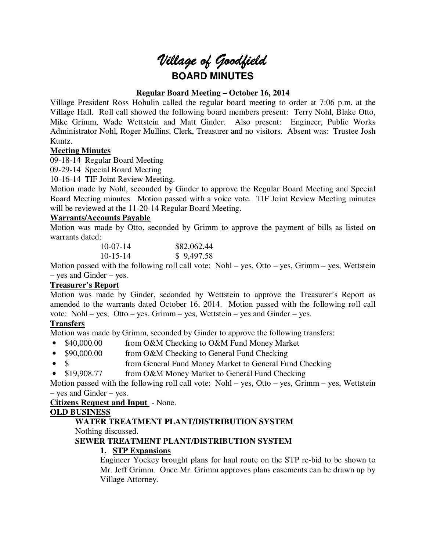# *Village of Goodfield* **BOARD MINUTES**

# **Regular Board Meeting – October 16, 2014**

Village President Ross Hohulin called the regular board meeting to order at 7:06 p.m. at the Village Hall. Roll call showed the following board members present: Terry Nohl, Blake Otto, Mike Grimm, Wade Wettstein and Matt Ginder. Also present: Engineer, Public Works Administrator Nohl, Roger Mullins, Clerk, Treasurer and no visitors. Absent was: Trustee Josh Kuntz.

# **Meeting Minutes**

09-18-14 Regular Board Meeting

09-29-14 Special Board Meeting

10-16-14 TIF Joint Review Meeting.

Motion made by Nohl, seconded by Ginder to approve the Regular Board Meeting and Special Board Meeting minutes. Motion passed with a voice vote. TIF Joint Review Meeting minutes will be reviewed at the 11-20-14 Regular Board Meeting.

# **Warrants/Accounts Payable**

Motion was made by Otto, seconded by Grimm to approve the payment of bills as listed on warrants dated:

| $10-07-14$ | \$82,062.44 |
|------------|-------------|
| $10-15-14$ | \$9,497.58  |

Motion passed with the following roll call vote: Nohl – yes, Otto – yes, Grimm – yes, Wettstein – yes and Ginder – yes.

## **Treasurer's Report**

Motion was made by Ginder, seconded by Wettstein to approve the Treasurer's Report as amended to the warrants dated October 16, 2014. Motion passed with the following roll call vote: Nohl – yes, Otto – yes, Grimm – yes, Wettstein – yes and Ginder – yes.

## **Transfers**

Motion was made by Grimm, seconded by Ginder to approve the following transfers:

- \$40,000.00 from O&M Checking to O&M Fund Money Market
- \$90,000.00 from O&M Checking to General Fund Checking
- \$ from General Fund Money Market to General Fund Checking
- \$19,908.77 from O&M Money Market to General Fund Checking

Motion passed with the following roll call vote: Nohl – yes, Otto – yes, Grimm – yes, Wettstein – yes and Ginder – yes.

## **Citizens Request and Input** - None.

## **OLD BUSINESS**

## **WATER TREATMENT PLANT/DISTRIBUTION SYSTEM**

Nothing discussed.

## **SEWER TREATMENT PLANT/DISTRIBUTION SYSTEM**

# **1. STP Expansions**

Engineer Yockey brought plans for haul route on the STP re-bid to be shown to Mr. Jeff Grimm. Once Mr. Grimm approves plans easements can be drawn up by Village Attorney.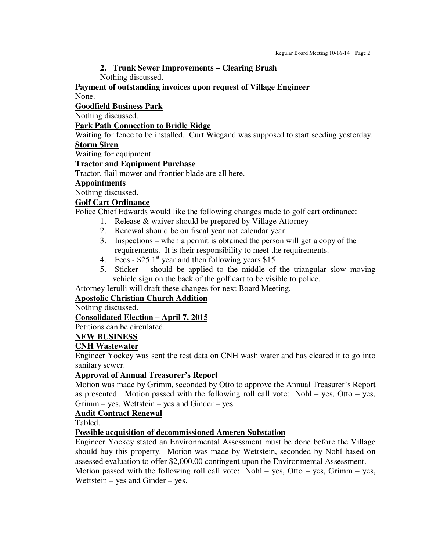## **2. Trunk Sewer Improvements – Clearing Brush**

Nothing discussed.

## **Payment of outstanding invoices upon request of Village Engineer**

None.

## **Goodfield Business Park**

Nothing discussed.

## **Park Path Connection to Bridle Ridge**

Waiting for fence to be installed. Curt Wiegand was supposed to start seeding yesterday.

# **Storm Siren**

Waiting for equipment.

## **Tractor and Equipment Purchase**

Tractor, flail mower and frontier blade are all here.

# **Appointments**

Nothing discussed.

## **Golf Cart Ordinance**

Police Chief Edwards would like the following changes made to golf cart ordinance:

- 1. Release & waiver should be prepared by Village Attorney
- 2. Renewal should be on fiscal year not calendar year
- 3. Inspections when a permit is obtained the person will get a copy of the requirements. It is their responsibility to meet the requirements.
- 4. Fees  $$25 \text{ }1^{\text{st}}$$  year and then following years \$15
- 5. Sticker should be applied to the middle of the triangular slow moving vehicle sign on the back of the golf cart to be visible to police.

Attorney Ierulli will draft these changes for next Board Meeting.

# **Apostolic Christian Church Addition**

Nothing discussed.

# **Consolidated Election – April 7, 2015**

Petitions can be circulated.

## **NEW BUSINESS**

## **CNH Wastewater**

Engineer Yockey was sent the test data on CNH wash water and has cleared it to go into sanitary sewer.

## **Approval of Annual Treasurer's Report**

Motion was made by Grimm, seconded by Otto to approve the Annual Treasurer's Report as presented. Motion passed with the following roll call vote: Nohl – yes, Otto – yes, Grimm – yes, Wettstein – yes and Ginder – yes.

## **Audit Contract Renewal**

Tabled.

**Possible acquisition of decommissioned Ameren Substation** 

Engineer Yockey stated an Environmental Assessment must be done before the Village should buy this property. Motion was made by Wettstein, seconded by Nohl based on assessed evaluation to offer \$2,000.00 contingent upon the Environmental Assessment.

Motion passed with the following roll call vote: Nohl – yes, Otto – yes, Grimm – yes, Wettstein – yes and Ginder – yes.